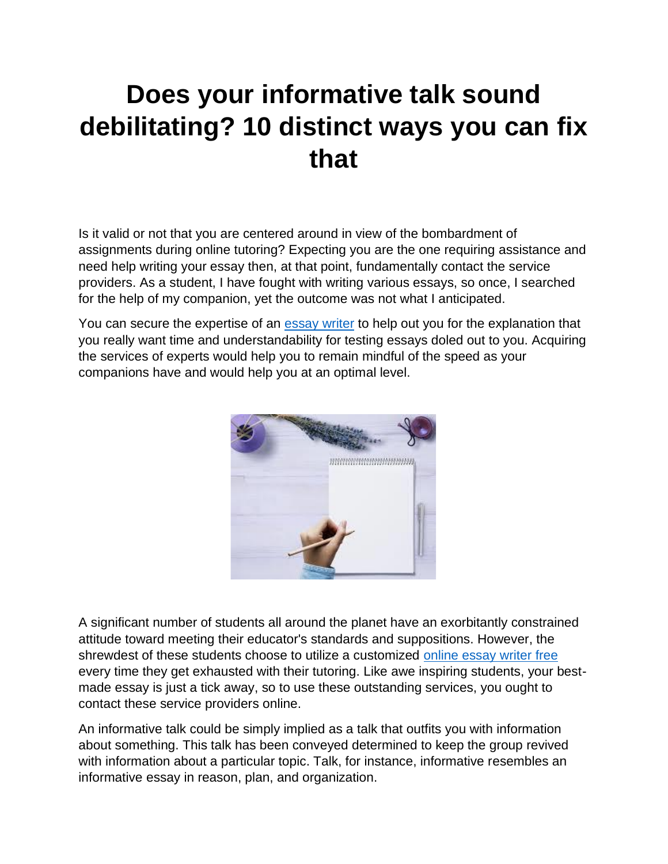## **Does your informative talk sound debilitating? 10 distinct ways you can fix that**

Is it valid or not that you are centered around in view of the bombardment of assignments during online tutoring? Expecting you are the one requiring assistance and need help writing your essay then, at that point, fundamentally contact the service providers. As a student, I have fought with writing various essays, so once, I searched for the help of my companion, yet the outcome was not what I anticipated.

You can secure the expertise of an [essay writer](https://youressaywriter.net/) to help out you for the explanation that you really want time and understandability for testing essays doled out to you. Acquiring the services of experts would help you to remain mindful of the speed as your companions have and would help you at an optimal level.



A significant number of students all around the planet have an exorbitantly constrained attitude toward meeting their educator's standards and suppositions. However, the shrewdest of these students choose to utilize a customized [online essay writer free](https://youressaywriter.net/) every time they get exhausted with their tutoring. Like awe inspiring students, your bestmade essay is just a tick away, so to use these outstanding services, you ought to contact these service providers online.

An informative talk could be simply implied as a talk that outfits you with information about something. This talk has been conveyed determined to keep the group revived with information about a particular topic. Talk, for instance, informative resembles an informative essay in reason, plan, and organization.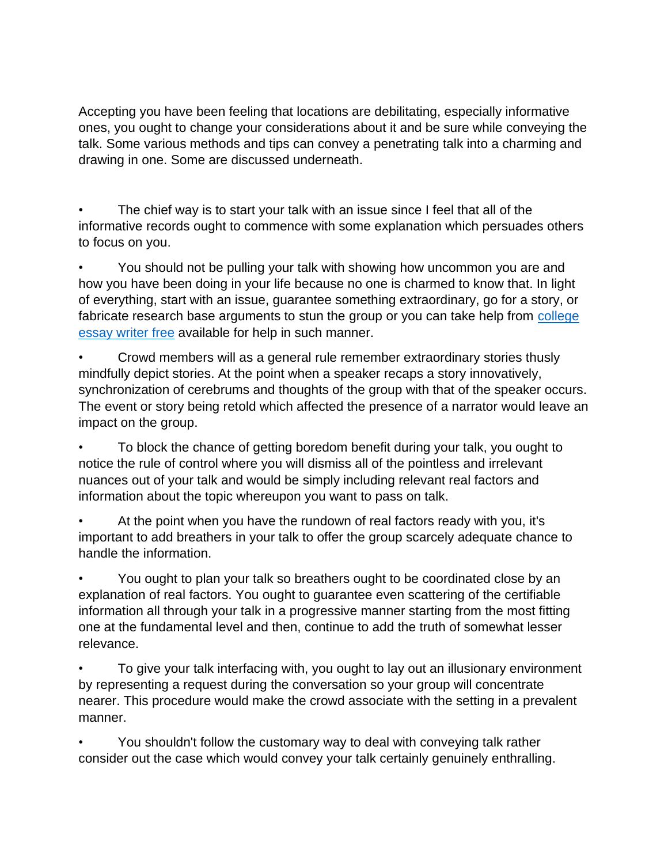Accepting you have been feeling that locations are debilitating, especially informative ones, you ought to change your considerations about it and be sure while conveying the talk. Some various methods and tips can convey a penetrating talk into a charming and drawing in one. Some are discussed underneath.

The chief way is to start your talk with an issue since I feel that all of the informative records ought to commence with some explanation which persuades others to focus on you.

• You should not be pulling your talk with showing how uncommon you are and how you have been doing in your life because no one is charmed to know that. In light of everything, start with an issue, guarantee something extraordinary, go for a story, or fabricate research base arguments to stun the group or you can take help from college [essay writer free](https://youressaywriter.net/) available for help in such manner.

• Crowd members will as a general rule remember extraordinary stories thusly mindfully depict stories. At the point when a speaker recaps a story innovatively, synchronization of cerebrums and thoughts of the group with that of the speaker occurs. The event or story being retold which affected the presence of a narrator would leave an impact on the group.

• To block the chance of getting boredom benefit during your talk, you ought to notice the rule of control where you will dismiss all of the pointless and irrelevant nuances out of your talk and would be simply including relevant real factors and information about the topic whereupon you want to pass on talk.

• At the point when you have the rundown of real factors ready with you, it's important to add breathers in your talk to offer the group scarcely adequate chance to handle the information.

• You ought to plan your talk so breathers ought to be coordinated close by an explanation of real factors. You ought to guarantee even scattering of the certifiable information all through your talk in a progressive manner starting from the most fitting one at the fundamental level and then, continue to add the truth of somewhat lesser relevance.

• To give your talk interfacing with, you ought to lay out an illusionary environment by representing a request during the conversation so your group will concentrate nearer. This procedure would make the crowd associate with the setting in a prevalent manner.

• You shouldn't follow the customary way to deal with conveying talk rather consider out the case which would convey your talk certainly genuinely enthralling.